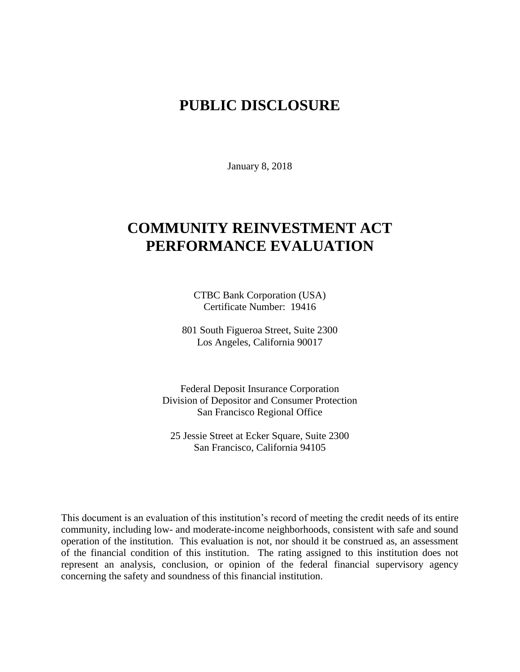## **PUBLIC DISCLOSURE**

January 8, 2018

# **COMMUNITY REINVESTMENT ACT PERFORMANCE EVALUATION**

CTBC Bank Corporation (USA) Certificate Number: 19416

801 South Figueroa Street, Suite 2300 Los Angeles, California 90017

Federal Deposit Insurance Corporation Division of Depositor and Consumer Protection San Francisco Regional Office

25 Jessie Street at Ecker Square, Suite 2300 San Francisco, California 94105

This document is an evaluation of this institution's record of meeting the credit needs of its entire community, including low- and moderate-income neighborhoods, consistent with safe and sound operation of the institution.This evaluation is not, nor should it be construed as, an assessment of the financial condition of this institution. The rating assigned to this institution does not represent an analysis, conclusion, or opinion of the federal financial supervisory agency concerning the safety and soundness of this financial institution.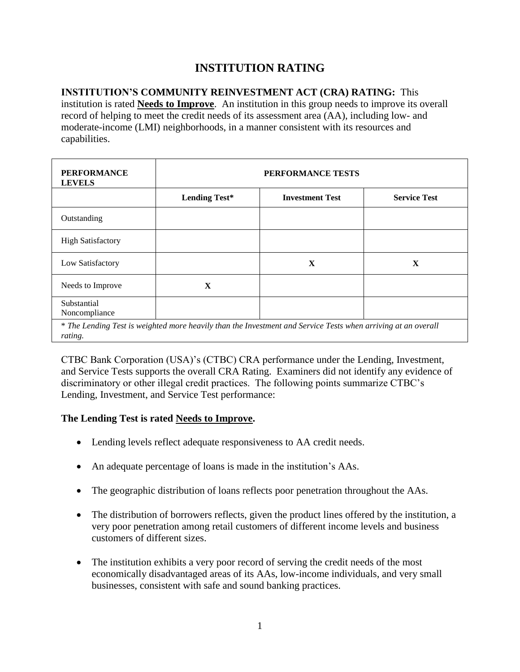### **INSTITUTION RATING**

#### **INSTITUTION'S COMMUNITY REINVESTMENT ACT (CRA) RATING:** This

institution is rated **Needs to Improve**. An institution in this group needs to improve its overall record of helping to meet the credit needs of its assessment area (AA), including low- and moderate-income (LMI) neighborhoods, in a manner consistent with its resources and capabilities.

| <b>PERFORMANCE</b><br><b>LEVELS</b>                                                                                      | PERFORMANCE TESTS    |                        |                     |  |  |  |  |  |  |
|--------------------------------------------------------------------------------------------------------------------------|----------------------|------------------------|---------------------|--|--|--|--|--|--|
|                                                                                                                          | <b>Lending Test*</b> | <b>Investment Test</b> | <b>Service Test</b> |  |  |  |  |  |  |
| Outstanding                                                                                                              |                      |                        |                     |  |  |  |  |  |  |
| <b>High Satisfactory</b>                                                                                                 |                      |                        |                     |  |  |  |  |  |  |
| Low Satisfactory                                                                                                         |                      | $\mathbf{X}$           | X                   |  |  |  |  |  |  |
| Needs to Improve                                                                                                         | $\mathbf{X}$         |                        |                     |  |  |  |  |  |  |
| Substantial<br>Noncompliance                                                                                             |                      |                        |                     |  |  |  |  |  |  |
| * The Lending Test is weighted more heavily than the Investment and Service Tests when arriving at an overall<br>rating. |                      |                        |                     |  |  |  |  |  |  |

CTBC Bank Corporation (USA)'s (CTBC) CRA performance under the Lending, Investment, and Service Tests supports the overall CRA Rating. Examiners did not identify any evidence of discriminatory or other illegal credit practices. The following points summarize CTBC's Lending, Investment, and Service Test performance:

#### **The Lending Test is rated Needs to Improve.**

- Lending levels reflect adequate responsiveness to AA credit needs.
- An adequate percentage of loans is made in the institution's AAs.
- The geographic distribution of loans reflects poor penetration throughout the AAs.
- The distribution of borrowers reflects, given the product lines offered by the institution, a very poor penetration among retail customers of different income levels and business customers of different sizes.
- The institution exhibits a very poor record of serving the credit needs of the most economically disadvantaged areas of its AAs, low-income individuals, and very small businesses, consistent with safe and sound banking practices.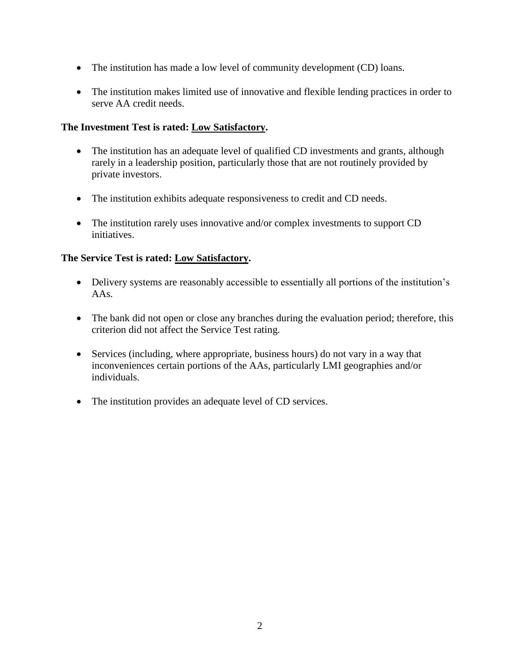- The institution has made a low level of community development (CD) loans.
- The institution makes limited use of innovative and flexible lending practices in order to serve AA credit needs.

#### **The Investment Test is rated: Low Satisfactory.**

- The institution has an adequate level of qualified CD investments and grants, although rarely in a leadership position, particularly those that are not routinely provided by private investors.
- The institution exhibits adequate responsiveness to credit and CD needs.
- The institution rarely uses innovative and/or complex investments to support CD initiatives.

#### **The Service Test is rated: Low Satisfactory.**

- Delivery systems are reasonably accessible to essentially all portions of the institution's AAs.
- The bank did not open or close any branches during the evaluation period; therefore, this criterion did not affect the Service Test rating.
- Services (including, where appropriate, business hours) do not vary in a way that inconveniences certain portions of the AAs, particularly LMI geographies and/or individuals.
- The institution provides an adequate level of CD services.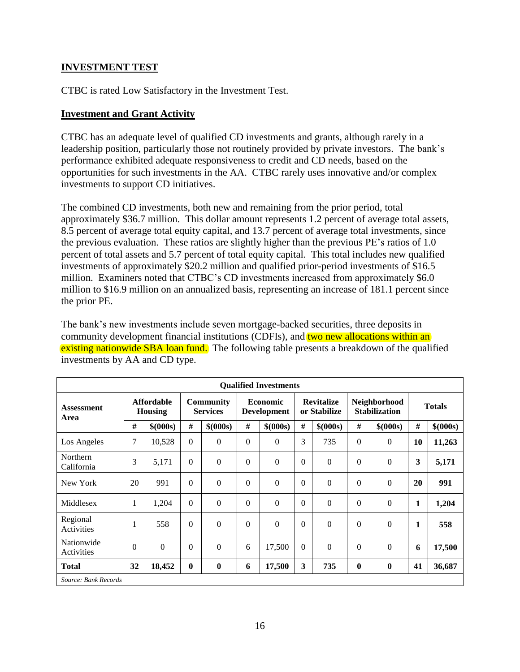#### **INVESTMENT TEST**

CTBC is rated Low Satisfactory in the Investment Test.

#### **Investment and Grant Activity**

CTBC has an adequate level of qualified CD investments and grants, although rarely in a leadership position, particularly those not routinely provided by private investors. The bank's performance exhibited adequate responsiveness to credit and CD needs, based on the opportunities for such investments in the AA. CTBC rarely uses innovative and/or complex investments to support CD initiatives.

The combined CD investments, both new and remaining from the prior period, total approximately \$36.7 million. This dollar amount represents 1.2 percent of average total assets, 8.5 percent of average total equity capital, and 13.7 percent of average total investments, since the previous evaluation. These ratios are slightly higher than the previous PE's ratios of 1.0 percent of total assets and 5.7 percent of total equity capital. This total includes new qualified investments of approximately \$20.2 million and qualified prior-period investments of \$16.5 million. Examiners noted that CTBC's CD investments increased from approximately \$6.0 million to \$16.9 million on an annualized basis, representing an increase of 181.1 percent since the prior PE.

The bank's new investments include seven mortgage-backed securities, three deposits in community development financial institutions (CDFIs), and two new allocations within an existing nationwide SBA loan fund. The following table presents a breakdown of the qualified investments by AA and CD type.

| <b>Qualified Investments</b> |                                     |           |                                     |           |                                       |                |                                   |                  |                                      |                  |               |           |
|------------------------------|-------------------------------------|-----------|-------------------------------------|-----------|---------------------------------------|----------------|-----------------------------------|------------------|--------------------------------------|------------------|---------------|-----------|
| Assessment<br>Area           | <b>Affordable</b><br><b>Housing</b> |           | <b>Community</b><br><b>Services</b> |           | <b>Economic</b><br><b>Development</b> |                | <b>Revitalize</b><br>or Stabilize |                  | Neighborhood<br><b>Stabilization</b> |                  | <b>Totals</b> |           |
|                              | $\#$                                | \$ (000s) | #                                   | \$ (000s) | #                                     | \$ (000s)      | #                                 | \$ (000s)        | #                                    | \$ (000s)        | $\#$          | \$ (000s) |
| Los Angeles                  | 7                                   | 10,528    | $\Omega$                            | $\Omega$  | $\Omega$                              | $\overline{0}$ | 3                                 | 735              | $\Omega$                             | $\overline{0}$   | 10            | 11,263    |
| Northern<br>California       | 3                                   | 5,171     | $\boldsymbol{0}$                    | $\Omega$  | $\Omega$                              | $\theta$       | $\Omega$                          | $\boldsymbol{0}$ | $\theta$                             | $\boldsymbol{0}$ | 3             | 5,171     |
| New York                     | 20                                  | 991       | $\Omega$                            | $\Omega$  | $\Omega$                              | $\theta$       | $\Omega$                          | $\boldsymbol{0}$ | $\theta$                             | $\overline{0}$   | 20            | 991       |
| Middlesex                    | 1                                   | 1,204     | $\Omega$                            | $\Omega$  | $\Omega$                              | $\Omega$       | $\Omega$                          | $\theta$         | $\theta$                             | $\theta$         | 1             | 1,204     |
| Regional<br>Activities       | 1                                   | 558       | $\Omega$                            | $\Omega$  | $\Omega$                              | $\theta$       | $\Omega$                          | $\theta$         | $\theta$                             | $\theta$         | 1             | 558       |
| Nationwide<br>Activities     | $\Omega$                            | $\theta$  | $\Omega$                            | $\Omega$  | 6                                     | 17,500         | $\Omega$                          | $\theta$         | $\Omega$                             | $\Omega$         | 6             | 17,500    |
| <b>Total</b>                 | 32                                  | 18,452    | $\bf{0}$                            | $\bf{0}$  | 6                                     | 17,500         | 3                                 | 735              | $\boldsymbol{0}$                     | $\bf{0}$         | 41            | 36,687    |
| Source: Bank Records         |                                     |           |                                     |           |                                       |                |                                   |                  |                                      |                  |               |           |